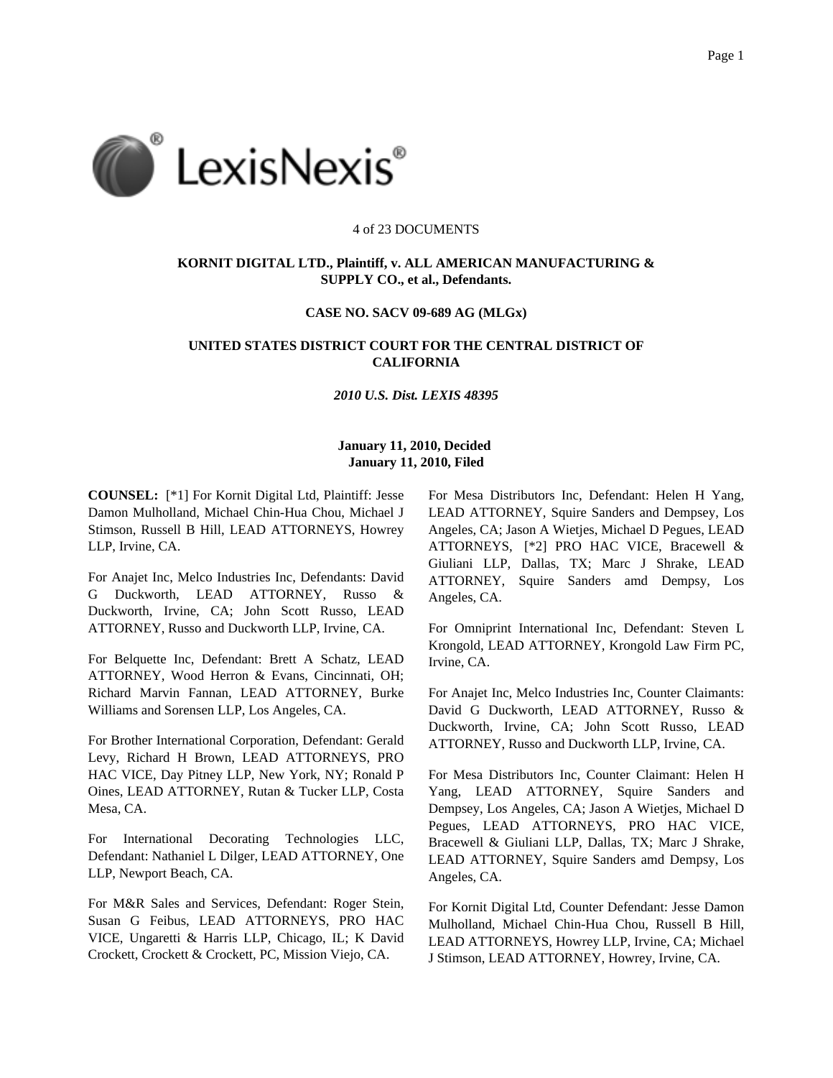

#### 4 of 23 DOCUMENTS

### **KORNIT DIGITAL LTD., Plaintiff, v. ALL AMERICAN MANUFACTURING & SUPPLY CO., et al., Defendants.**

#### **CASE NO. SACV 09-689 AG (MLGx)**

# **UNITED STATES DISTRICT COURT FOR THE CENTRAL DISTRICT OF CALIFORNIA**

### *2010 U.S. Dist. LEXIS 48395*

## **January 11, 2010, Decided January 11, 2010, Filed**

**COUNSEL:** [\*1] For Kornit Digital Ltd, Plaintiff: Jesse Damon Mulholland, Michael Chin-Hua Chou, Michael J Stimson, Russell B Hill, LEAD ATTORNEYS, Howrey LLP, Irvine, CA.

For Anajet Inc, Melco Industries Inc, Defendants: David G Duckworth, LEAD ATTORNEY, Russo & Duckworth, Irvine, CA; John Scott Russo, LEAD ATTORNEY, Russo and Duckworth LLP, Irvine, CA.

For Belquette Inc, Defendant: Brett A Schatz, LEAD ATTORNEY, Wood Herron & Evans, Cincinnati, OH; Richard Marvin Fannan, LEAD ATTORNEY, Burke Williams and Sorensen LLP, Los Angeles, CA.

For Brother International Corporation, Defendant: Gerald Levy, Richard H Brown, LEAD ATTORNEYS, PRO HAC VICE, Day Pitney LLP, New York, NY; Ronald P Oines, LEAD ATTORNEY, Rutan & Tucker LLP, Costa Mesa, CA.

For International Decorating Technologies LLC, Defendant: Nathaniel L Dilger, LEAD ATTORNEY, One LLP, Newport Beach, CA.

For M&R Sales and Services, Defendant: Roger Stein, Susan G Feibus, LEAD ATTORNEYS, PRO HAC VICE, Ungaretti & Harris LLP, Chicago, IL; K David Crockett, Crockett & Crockett, PC, Mission Viejo, CA.

For Mesa Distributors Inc, Defendant: Helen H Yang, LEAD ATTORNEY, Squire Sanders and Dempsey, Los Angeles, CA; Jason A Wietjes, Michael D Pegues, LEAD ATTORNEYS, [\*2] PRO HAC VICE, Bracewell & Giuliani LLP, Dallas, TX; Marc J Shrake, LEAD ATTORNEY, Squire Sanders amd Dempsy, Los Angeles, CA.

For Omniprint International Inc, Defendant: Steven L Krongold, LEAD ATTORNEY, Krongold Law Firm PC, Irvine, CA.

For Anajet Inc, Melco Industries Inc, Counter Claimants: David G Duckworth, LEAD ATTORNEY, Russo & Duckworth, Irvine, CA; John Scott Russo, LEAD ATTORNEY, Russo and Duckworth LLP, Irvine, CA.

For Mesa Distributors Inc, Counter Claimant: Helen H Yang, LEAD ATTORNEY, Squire Sanders and Dempsey, Los Angeles, CA; Jason A Wietjes, Michael D Pegues, LEAD ATTORNEYS, PRO HAC VICE, Bracewell & Giuliani LLP, Dallas, TX; Marc J Shrake, LEAD ATTORNEY, Squire Sanders amd Dempsy, Los Angeles, CA.

For Kornit Digital Ltd, Counter Defendant: Jesse Damon Mulholland, Michael Chin-Hua Chou, Russell B Hill, LEAD ATTORNEYS, Howrey LLP, Irvine, CA; Michael J Stimson, LEAD ATTORNEY, Howrey, Irvine, CA.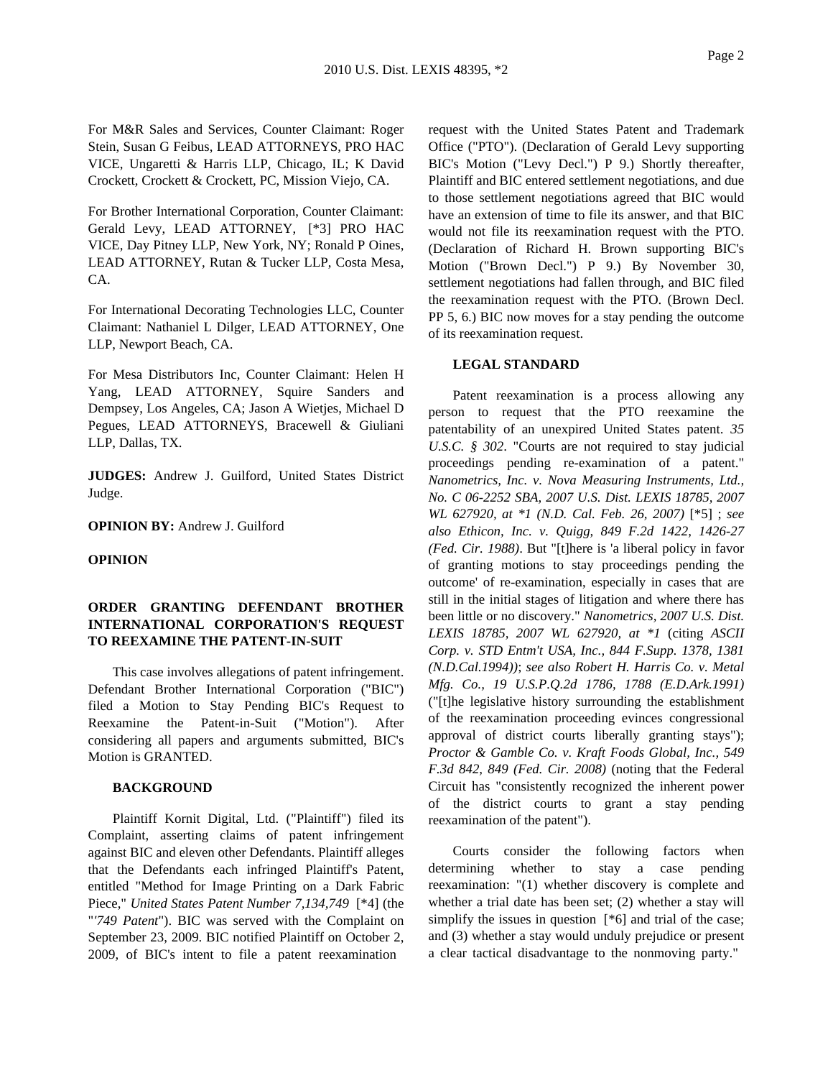For M&R Sales and Services, Counter Claimant: Roger Stein, Susan G Feibus, LEAD ATTORNEYS, PRO HAC VICE, Ungaretti & Harris LLP, Chicago, IL; K David Crockett, Crockett & Crockett, PC, Mission Viejo, CA.

For Brother International Corporation, Counter Claimant: Gerald Levy, LEAD ATTORNEY, [\*3] PRO HAC VICE, Day Pitney LLP, New York, NY; Ronald P Oines, LEAD ATTORNEY, Rutan & Tucker LLP, Costa Mesa, CA.

For International Decorating Technologies LLC, Counter Claimant: Nathaniel L Dilger, LEAD ATTORNEY, One LLP, Newport Beach, CA.

For Mesa Distributors Inc, Counter Claimant: Helen H Yang, LEAD ATTORNEY, Squire Sanders and Dempsey, Los Angeles, CA; Jason A Wietjes, Michael D Pegues, LEAD ATTORNEYS, Bracewell & Giuliani LLP, Dallas, TX.

**JUDGES:** Andrew J. Guilford, United States District Judge.

**OPINION BY:** Andrew J. Guilford

#### **OPINION**

## **ORDER GRANTING DEFENDANT BROTHER INTERNATIONAL CORPORATION'S REQUEST TO REEXAMINE THE PATENT-IN-SUIT**

This case involves allegations of patent infringement. Defendant Brother International Corporation ("BIC") filed a Motion to Stay Pending BIC's Request to Reexamine the Patent-in-Suit ("Motion"). After considering all papers and arguments submitted, BIC's Motion is GRANTED.

### **BACKGROUND**

Plaintiff Kornit Digital, Ltd. ("Plaintiff") filed its Complaint, asserting claims of patent infringement against BIC and eleven other Defendants. Plaintiff alleges that the Defendants each infringed Plaintiff's Patent, entitled "Method for Image Printing on a Dark Fabric Piece," *United States Patent Number 7,134,749* [\*4] (the "*'749 Patent*"). BIC was served with the Complaint on September 23, 2009. BIC notified Plaintiff on October 2, 2009, of BIC's intent to file a patent reexamination

request with the United States Patent and Trademark Office ("PTO"). (Declaration of Gerald Levy supporting BIC's Motion ("Levy Decl.") P 9.) Shortly thereafter, Plaintiff and BIC entered settlement negotiations, and due to those settlement negotiations agreed that BIC would have an extension of time to file its answer, and that BIC would not file its reexamination request with the PTO. (Declaration of Richard H. Brown supporting BIC's Motion ("Brown Decl.") P 9.) By November 30, settlement negotiations had fallen through, and BIC filed the reexamination request with the PTO. (Brown Decl. PP 5, 6.) BIC now moves for a stay pending the outcome of its reexamination request.

### **LEGAL STANDARD**

Patent reexamination is a process allowing any person to request that the PTO reexamine the patentability of an unexpired United States patent. *35 U.S.C. § 302*. "Courts are not required to stay judicial proceedings pending re-examination of a patent." *Nanometrics, Inc. v. Nova Measuring Instruments, Ltd., No. C 06-2252 SBA, 2007 U.S. Dist. LEXIS 18785, 2007 WL 627920, at \*1 (N.D. Cal. Feb. 26, 2007)* [\*5] ; *see also Ethicon, Inc. v. Quigg, 849 F.2d 1422, 1426-27 (Fed. Cir. 1988)*. But "[t]here is 'a liberal policy in favor of granting motions to stay proceedings pending the outcome' of re-examination, especially in cases that are still in the initial stages of litigation and where there has been little or no discovery." *Nanometrics, 2007 U.S. Dist. LEXIS 18785, 2007 WL 627920, at \*1* (citing *ASCII Corp. v. STD Entm't USA, Inc., 844 F.Supp. 1378, 1381 (N.D.Cal.1994))*; *see also Robert H. Harris Co. v. Metal Mfg. Co., 19 U.S.P.Q.2d 1786, 1788 (E.D.Ark.1991)* ("[t]he legislative history surrounding the establishment of the reexamination proceeding evinces congressional approval of district courts liberally granting stays"); *Proctor & Gamble Co. v. Kraft Foods Global, Inc., 549 F.3d 842, 849 (Fed. Cir. 2008)* (noting that the Federal Circuit has "consistently recognized the inherent power of the district courts to grant a stay pending reexamination of the patent").

Courts consider the following factors when determining whether to stay a case pending reexamination: "(1) whether discovery is complete and whether a trial date has been set; (2) whether a stay will simplify the issues in question [ $*6$ ] and trial of the case; and (3) whether a stay would unduly prejudice or present a clear tactical disadvantage to the nonmoving party."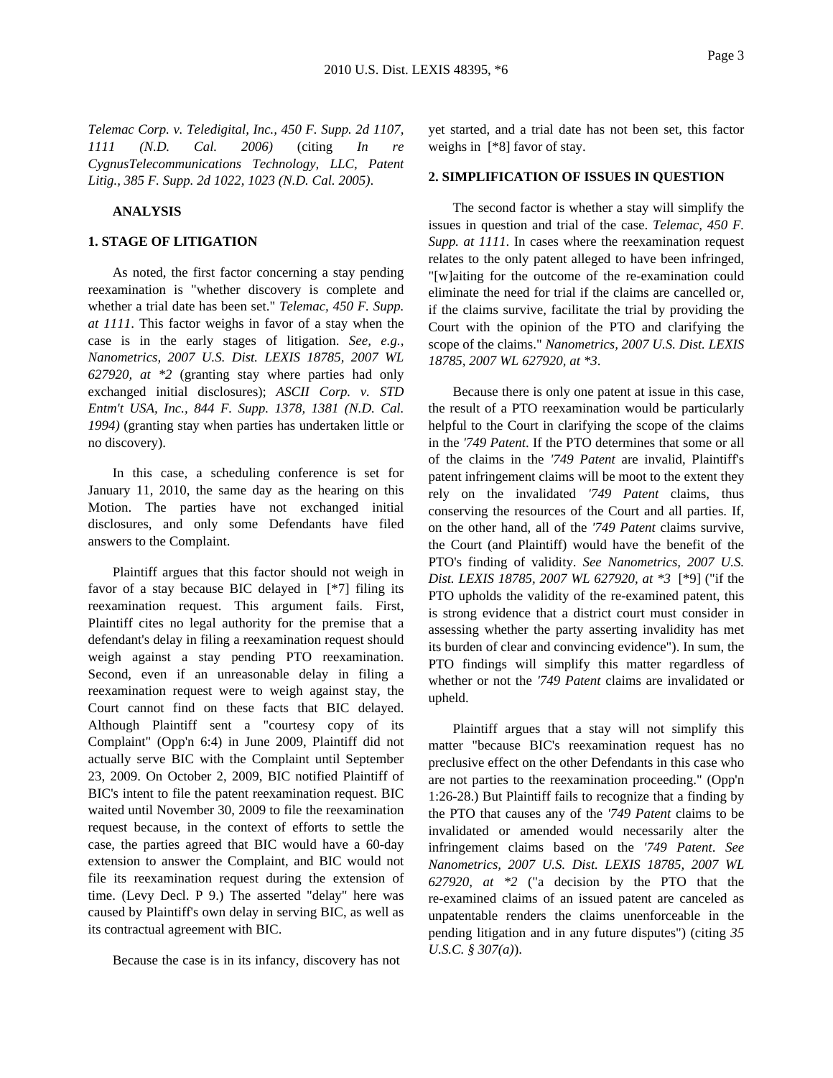*Telemac Corp. v. Teledigital, Inc., 450 F. Supp. 2d 1107, 1111 (N.D. Cal. 2006)* (citing *In re CygnusTelecommunications Technology, LLC, Patent Litig., 385 F. Supp. 2d 1022, 1023 (N.D. Cal. 2005)*.

#### **ANALYSIS**

### **1. STAGE OF LITIGATION**

As noted, the first factor concerning a stay pending reexamination is "whether discovery is complete and whether a trial date has been set." *Telemac, 450 F. Supp. at 1111*. This factor weighs in favor of a stay when the case is in the early stages of litigation. *See, e.g., Nanometrics, 2007 U.S. Dist. LEXIS 18785, 2007 WL 627920, at \*2* (granting stay where parties had only exchanged initial disclosures); *ASCII Corp. v. STD Entm't USA, Inc., 844 F. Supp. 1378, 1381 (N.D. Cal. 1994)* (granting stay when parties has undertaken little or no discovery).

In this case, a scheduling conference is set for January 11, 2010, the same day as the hearing on this Motion. The parties have not exchanged initial disclosures, and only some Defendants have filed answers to the Complaint.

Plaintiff argues that this factor should not weigh in favor of a stay because BIC delayed in [\*7] filing its reexamination request. This argument fails. First, Plaintiff cites no legal authority for the premise that a defendant's delay in filing a reexamination request should weigh against a stay pending PTO reexamination. Second, even if an unreasonable delay in filing a reexamination request were to weigh against stay, the Court cannot find on these facts that BIC delayed. Although Plaintiff sent a "courtesy copy of its Complaint" (Opp'n 6:4) in June 2009, Plaintiff did not actually serve BIC with the Complaint until September 23, 2009. On October 2, 2009, BIC notified Plaintiff of BIC's intent to file the patent reexamination request. BIC waited until November 30, 2009 to file the reexamination request because, in the context of efforts to settle the case, the parties agreed that BIC would have a 60-day extension to answer the Complaint, and BIC would not file its reexamination request during the extension of time. (Levy Decl. P 9.) The asserted "delay" here was caused by Plaintiff's own delay in serving BIC, as well as its contractual agreement with BIC.

Because the case is in its infancy, discovery has not

yet started, and a trial date has not been set, this factor weighs in [\*8] favor of stay.

#### **2. SIMPLIFICATION OF ISSUES IN QUESTION**

The second factor is whether a stay will simplify the issues in question and trial of the case. *Telemac, 450 F. Supp. at 1111*. In cases where the reexamination request relates to the only patent alleged to have been infringed, "[w]aiting for the outcome of the re-examination could eliminate the need for trial if the claims are cancelled or, if the claims survive, facilitate the trial by providing the Court with the opinion of the PTO and clarifying the scope of the claims." *Nanometrics, 2007 U.S. Dist. LEXIS 18785, 2007 WL 627920, at \*3*.

Because there is only one patent at issue in this case, the result of a PTO reexamination would be particularly helpful to the Court in clarifying the scope of the claims in the *'749 Patent*. If the PTO determines that some or all of the claims in the *'749 Patent* are invalid, Plaintiff's patent infringement claims will be moot to the extent they rely on the invalidated *'749 Patent* claims, thus conserving the resources of the Court and all parties. If, on the other hand, all of the *'749 Patent* claims survive, the Court (and Plaintiff) would have the benefit of the PTO's finding of validity. *See Nanometrics, 2007 U.S. Dist. LEXIS 18785, 2007 WL 627920, at \*3* [\*9] ("if the PTO upholds the validity of the re-examined patent, this is strong evidence that a district court must consider in assessing whether the party asserting invalidity has met its burden of clear and convincing evidence"). In sum, the PTO findings will simplify this matter regardless of whether or not the *'749 Patent* claims are invalidated or upheld.

Plaintiff argues that a stay will not simplify this matter "because BIC's reexamination request has no preclusive effect on the other Defendants in this case who are not parties to the reexamination proceeding." (Opp'n 1:26-28.) But Plaintiff fails to recognize that a finding by the PTO that causes any of the *'749 Patent* claims to be invalidated or amended would necessarily alter the infringement claims based on the *'749 Patent*. *See Nanometrics, 2007 U.S. Dist. LEXIS 18785, 2007 WL 627920, at \*2* ("a decision by the PTO that the re-examined claims of an issued patent are canceled as unpatentable renders the claims unenforceable in the pending litigation and in any future disputes") (citing *35 U.S.C. § 307(a)*).